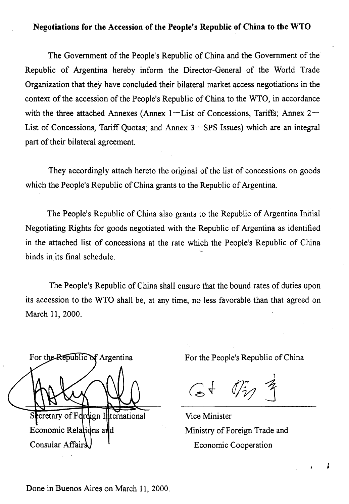## Negotiations for the Accession of the People's Republic of China to the WTO

The Government of the People's Republic of China and the Government of the Republic of Argentina hereby inform the Director-General of the World Trade Organization that they have concluded their bilateral market access negotiations in the context of the accession of the People's Republic of China to the WTO, in accordance with the three attached Annexes (Annex  $1$ -List of Concessions, Tariffs; Annex  $2-$ List of Concessions, Tariff Quotas; and Annex  $3$  SPS Issues) which are an integral part of their bilateral agreement.

They accordingly attach hereto the original of the list of concessions on goods which the People's Republic of China grants to the Republic of Argentina.

The People's Republic of China also grants to the Republic of Argentina Initial Negotiating Rights for goods negotiated with the Republic of Argentina as identified in the attached list of concessions at the rate which the People's Republic of China binds in its final schedule.

The People's Republic of China shall ensure that the bound rates of duties upon its accession to the WTO shall be, at any time, no less favorable than that agreed on March 11, 2000.

For the Republic of Argentina Secretary of Fordign International Economic Relations and Consular Affairs

For the People's Republic of China

 $G + 0i$ 

Vice Minister Ministry of Foreign Trade and Economic Cooperation

ś

Done in Buenos Aires on March 11, 2000.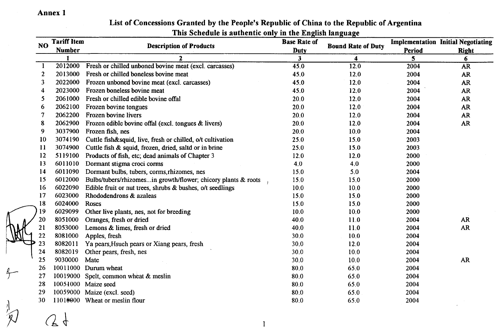Annex 1

| NO.           | <b>Tariff Item</b><br><b>Number</b> | тнія эспецийств айтисные онгутні піс тягднян іандиадс<br><b>Description of Products</b> | <b>Base Rate of</b><br><b>Duty</b> | <b>Bound Rate of Duty</b><br>4 | Period<br>$\overline{\mathbf{5}}$ | <b>Implementation Initial Negotiating</b><br><b>Right</b><br>6. |
|---------------|-------------------------------------|-----------------------------------------------------------------------------------------|------------------------------------|--------------------------------|-----------------------------------|-----------------------------------------------------------------|
|               |                                     | $\mathbf{2}$                                                                            | 3 <sup>1</sup>                     |                                |                                   |                                                                 |
| -1            | 2012000                             | Fresh or chilled unboned bovine meat (excl. carcasses)                                  | 45.0                               | 12.0                           | 2004                              | <b>AR</b>                                                       |
| $\mathbf{2}$  | 2013000                             | Fresh or chilled boneless bovine meat                                                   | 45.0                               | 12.0                           | 2004                              | <b>AR</b>                                                       |
| 3             | 2022000                             | Frozen unboned bovine meat (excl. carcasses)                                            | 45,0                               | 12.0                           | 2004                              | <b>AR</b>                                                       |
| 4             | 2023000                             | Frozen boneless bovine meat                                                             | 45.0                               | 12.0                           | 2004                              | <b>AR</b>                                                       |
| 5             | 2061000                             | Fresh or chilled edible bovine offal                                                    | 20.0<br>20.0<br>20.0<br>20.0       | 12.0<br>12.0<br>12.0<br>12.0   | 2004<br>2004<br>2004<br>2004      | <b>AR</b><br><b>AR</b><br>AR<br>AR                              |
| 6             | 2062100                             | Frozen bovine tongues                                                                   |                                    |                                |                                   |                                                                 |
| 7             | 2062200                             | Frozen bovine livers                                                                    |                                    |                                |                                   |                                                                 |
| 8             | 2062900                             | Frozen edible bovine offal (excl. tongues $\&$ livers)                                  |                                    |                                |                                   |                                                                 |
| 9             | 3037900                             | Frozen fish, nes                                                                        | 20.0                               | 10.0                           | 2004                              |                                                                 |
| 10            | 3074190                             | Cuttle fish&squid, live, fresh or chilled, o/t cultivation                              | 25.0                               | 15.0                           | 2003                              |                                                                 |
| $\mathbf{11}$ | 3074900                             | Cuttle fish & squid, frozen, dried, saltd or in brine                                   | 25.0                               | 15.0                           | 2003                              |                                                                 |
| 12            | 5119100                             | Products of fish, etc; dead animals of Chapter 3                                        | 12.0                               | 12.0                           | 2000                              |                                                                 |
| 13            | 6011010                             | Dormant stigma croci corms                                                              | 4.0                                | 4.0                            | 2000                              |                                                                 |
| 14            | 6011090                             | Dormant bulbs, tubers, corms, rhizomes, nes                                             | 15.0                               | 5.0                            | 2004                              |                                                                 |
| 15            | 6012000                             | Bulbs/tubers/rhizomesin growth/flower; chicory plants & roots                           | 15.0                               | 15.0                           | 2000                              |                                                                 |
| 16            | 6022090                             | Edible fruit or nut trees, shrubs $\&$ bushes, o/t seedlings                            | 10.0                               | 10.0                           | 2000                              |                                                                 |
| 17            | 6023000                             | Rhododendrons & azaleas                                                                 | 15.0                               | 15.0                           | 2000                              |                                                                 |
| 18            | 6024000                             | Roses                                                                                   | 15.0                               | 15.0                           | 2000                              |                                                                 |
| 19            | 6029099                             | Other live plants, nes, not for breeding                                                | 10.0                               | 10.0                           | 2000                              |                                                                 |
| 20            | 8051000                             | Oranges, fresh or dried                                                                 | 40.0                               | 11.0                           | 2004                              | <b>AR</b>                                                       |
| 21            | 8053000                             | Lemons & limes, fresh or dried                                                          | 40.0                               | 11.0                           | 2004                              | <b>AR</b>                                                       |
| 22            | 8081000                             | Apples, fresh                                                                           | 30.0                               | 10.0                           | 2004                              |                                                                 |
| 23            | 8082011                             | Ya pears, Hsueh pears or Xiang pears, fresh                                             | 30.0                               | 12.0                           | 2004                              |                                                                 |
| 24            | 8082019                             | Other pears, fresh, nes                                                                 | 30.0                               | 10.0                           | 2004                              |                                                                 |
| 25            | 9030000                             | Mate                                                                                    | 30.0                               | 10.0                           | 2004                              | AR                                                              |
| 26            |                                     | 10011000 Durum wheat                                                                    | 80.0                               | 65.0                           | 2004                              |                                                                 |
| 27            | 10019000                            | Spelt, common wheat & meslin                                                            | 80.0                               | 65.0                           | 2004                              |                                                                 |
| 28            |                                     | 10051000 Maize seed                                                                     | 80.0                               | 65.0                           | 2004                              |                                                                 |
| 29            |                                     | 10059000 Maize (excl. seed)                                                             | 80.0                               | 65.0                           | 2004                              |                                                                 |
| 30            |                                     | 11010000 Wheat or meslin flour                                                          | 80.0                               | 65.0                           | 2004                              |                                                                 |
|               |                                     | 1                                                                                       |                                    |                                |                                   |                                                                 |

### List of Concessions Granted by the People's Republic of China to the Republic of Argentina This Schedule is authentic only in the English language

 $\oint$ 

Ŕ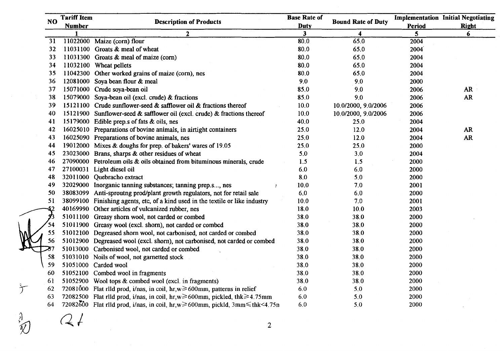|               | NO. | <b>Tariff Item</b>                                                                                          | <b>Description of Products</b>                                                                                          | <b>Base Rate of</b> | <b>Bound Rate of Duty</b>   |              | <b>Implementation Initial Negotiating</b> |  |
|---------------|-----|-------------------------------------------------------------------------------------------------------------|-------------------------------------------------------------------------------------------------------------------------|---------------------|-----------------------------|--------------|-------------------------------------------|--|
|               |     | <b>Number</b>                                                                                               |                                                                                                                         | <b>Duty</b>         |                             | Period       | <b>Right</b>                              |  |
|               | 31  |                                                                                                             | $\mathbf{2}$<br>11022000 Maize (corn) flour                                                                             | 3<br>80.0           | 4<br>65,0                   | 5<br>2004    | 6                                         |  |
|               | 32  |                                                                                                             | 11031100 Groats & meal of wheat                                                                                         | 80.0                | 65.0                        | 2004         |                                           |  |
|               | 33  |                                                                                                             | 11031300 Groats & meal of maize (corn)                                                                                  | 80.0                | 65.0                        | 2004         |                                           |  |
|               | 34  |                                                                                                             | 11032100 Wheat pellets                                                                                                  | 80.0                | 65.0                        | 2004         |                                           |  |
|               | 35  |                                                                                                             | 11042300 Other worked grains of maize (corn), nes                                                                       | 80.0                | 65.0                        | 2004         |                                           |  |
|               | 36  |                                                                                                             | 12081000 Soya bean flour & meal                                                                                         | 9.0                 | 9.0                         | 2000         |                                           |  |
|               | 37  |                                                                                                             |                                                                                                                         | 85.0                | 9.0                         | 2006         | <b>AR</b>                                 |  |
|               | 38  | 15071000 Crude soya-bean oil<br>15079000 Soya-bean oil (excl. crude) & fractions                            |                                                                                                                         | 85.0                | 9.0                         | 2006         | <b>AR</b>                                 |  |
|               | 39  |                                                                                                             | 15121100 Crude sunflower-seed & safflower oil & fractions thereof                                                       | 10.0                | 10.0/2000, 9.0/2006         | 2006         |                                           |  |
|               | 40  |                                                                                                             |                                                                                                                         | 10.0                |                             |              |                                           |  |
|               | 41  |                                                                                                             | 15121900 Sunflower-seed & safflower oil (excl. crude) & fractions thereof<br>15179000 Edible prep.s of fats & oils, nes | 40.0                | 10.0/2000, 9.0/2006<br>25.0 | 2006<br>2004 |                                           |  |
|               | 42  |                                                                                                             | 16025010 Preparations of bovine animals, in airtight containers                                                         | 25.0                | 12.0                        | 2004         | AR                                        |  |
|               | 43  |                                                                                                             |                                                                                                                         | 25.0                | 12.0                        |              | <b>AR</b>                                 |  |
|               | 44  | 16025090 Preparations of bovine animals, nes<br>19012000 Mixes & doughs for prep. of bakers' wares of 19.05 |                                                                                                                         | 25.0                | 25.0                        | 2004<br>2000 |                                           |  |
|               | 45  |                                                                                                             | 23023000 Brans, sharps & other residues of wheat                                                                        | 5.0                 | 3.0                         | 2004         |                                           |  |
|               | 46  |                                                                                                             | 27090000 Petroleum oils $\&$ oils obtained from bituminous minerals, crude                                              | 1.5                 | 1.5                         | 2000         |                                           |  |
|               | 47  |                                                                                                             | 27100031 Light diesel oil                                                                                               | 6.0                 | 6,0                         | 2000         |                                           |  |
|               | 48  |                                                                                                             | 32011000 Quebracho extract                                                                                              | 8.0                 | 5.0                         | 2000         |                                           |  |
|               | 49  |                                                                                                             | 32029000 Inorganic tanning substances; tanning prep.s, nes                                                              | 10.0                | 7.0                         | 2001         |                                           |  |
|               | 50  |                                                                                                             | 38083099 Anti-sproutng prod/plant growth regulators, not for retail sale                                                | 6.0                 | 6.0                         | 2000         |                                           |  |
|               | 51  | 38099100 Finishing agents, etc, of a kind used in the textile or like industry                              |                                                                                                                         | 10.0                | 7.0                         | 2001         |                                           |  |
|               |     |                                                                                                             | 40169990 Other articles of vulcanized rubber, nes                                                                       | 18.0                | 10.0                        | 2003         |                                           |  |
|               |     |                                                                                                             | 51011100 Greasy shorn wool, not carded or combed                                                                        | 38.0                | 38.0                        | 2000         |                                           |  |
|               | 54  |                                                                                                             | 51011900 Greasy wool (excl. shorn), not carded or combed                                                                | 38.0                | 38.0                        | 2000         |                                           |  |
|               | 55  |                                                                                                             | 51012100 Degreased shorn wool, not carbonised, not carded or combed                                                     | 38.0                | 38.0                        | 2000         |                                           |  |
|               | 56  |                                                                                                             | 51012900 Degreased wool (excl. shorn), not carbonised, not carded or combed                                             | 38.0                | 38.0                        | 2000         |                                           |  |
|               |     |                                                                                                             | 51013000 Carbonised wool, not carded or combed                                                                          | 38.0                | 38.0                        | 2000         |                                           |  |
|               | 58  |                                                                                                             | 51031010 Noils of wool, not garnetted stock                                                                             | 38.0                | 38.0                        | 2000         |                                           |  |
|               | 59  |                                                                                                             | 51051000 Carded wool                                                                                                    | 38.0                | 38.0                        | 2000         |                                           |  |
|               | 60  |                                                                                                             | 51052100 Combed wool in fragments                                                                                       | 38.0                | 38.0                        | 2000         |                                           |  |
|               | 61  |                                                                                                             | 51052900 Wool tops & combed wool (excl. in fragments)                                                                   | 38.0                | 38.0                        | 2000         |                                           |  |
| $\mathcal{F}$ | 62  |                                                                                                             | 72081000 Flat rlld prod, i/nas, in coil, $hr, w \ge 600$ mm, patterns in relief                                         | 6.0                 | 5.0                         | 2000         |                                           |  |
|               | 63  |                                                                                                             | 72082500 Flat rlld prod, i/nas, in coil, hr, $w \ge 600$ mm, pickled, thk $\ge 4.75$ mm                                 | 6.0                 | 5.0                         | 2000         |                                           |  |
|               | 64  |                                                                                                             | 72082600 Flat rild prod, i/nas, in coil, hr,w $\geq 600$ mm, pickld, 3mm $\leq$ thk < 4.75n                             | 6.0                 | 5.0                         | 2000         |                                           |  |

 $\mathbb{Q}$  and  $\mathbb{Q}$  for  $\mathbb{Q}$  for  $\mathbb{Q}$  for  $\mathbb{Q}$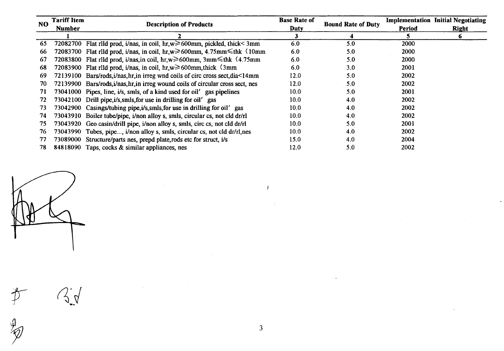| <b>NO</b> | <b>Tariff Item</b><br><b>Number</b> | <b>Description of Products</b>                                                                | <b>Base Rate of</b><br>Duty | <b>Bound Rate of Duty</b> | <b>Period</b> | <b>Implementation Initial Negotiating</b><br><b>Right</b> |
|-----------|-------------------------------------|-----------------------------------------------------------------------------------------------|-----------------------------|---------------------------|---------------|-----------------------------------------------------------|
|           |                                     |                                                                                               |                             | 4                         |               | 6                                                         |
| 65        |                                     | 72082700 Flat rlld prod, i/nas, in coil, hr,w $\geq 600$ mm, pickled, thick< 3mm              | 6.0                         | 5.0                       | 2000          |                                                           |
| 66        |                                     | 72083700 Flat rild prod, i/nas, in coil, hr,w $\geq 600$ mm, 4.75mm $\leq$ thk $\langle$ 10mm | 6.0                         | 5.0                       | 2000          |                                                           |
| 67        |                                     | 72083800 Flat rlld prod, i/nas, in coil, hr, $w \ge 600$ mm, 3mm $\le$ thk $\langle 4.75$ mm  | 6.0                         | 5.0                       | 2000          |                                                           |
| 68        |                                     | 72083900 Flat rild prod, i/nas, in coil, $hr, w \ge 600$ mm, thick $\langle 3mm \rangle$      | 6.0                         | 3.0                       | 2001          |                                                           |
| 69        |                                     | 72139100 Bars/rods, i/nas, hr, in irreg wnd coils of circ cross sect, dia<14mm                | 12.0                        | 5.0                       | 2002          |                                                           |
| 70        |                                     | 72139900 Bars/rods, i/nas, hr, in irreg wound coils of circular cross sect, nes               | 12.0                        | 5.0                       | 2002          |                                                           |
| 71        |                                     | 73041000 Pipes, line, i/s, smls, of a kind used for oil' gas pipelines                        | 10.0 <sub>1</sub>           | 5.0                       | 2001          |                                                           |
| 72        |                                     | 73042100 Drill pipe, i/s, smls, for use in drilling for oil' gas                              | 10.0 <sub>1</sub>           | 4.0                       | 2002          |                                                           |
| 73        |                                     | 73042900 Casings/tubing pipe, i/s, smls, for use in drilling for oil' gas                     | 10.0 <sub>1</sub>           | 4.0                       | 2002          |                                                           |
| 74        |                                     | 73043910 Boiler tube/pipe, i/non alloy s, smls, circular cs, not cld dr/rl                    | 10.0 <sub>1</sub>           | 4.0                       | 2002          |                                                           |
| 75        |                                     | 73043920 Geo casin/drill pipe, i/non alloy s, smls, circ cs, not cld dr/rl                    | 10.0 <sub>1</sub>           | 5.0                       | 2001          |                                                           |
| 76        |                                     | 73043990 Tubes, pipe, i/non alloy s, smls, circular cs, not cld dr/rl,nes                     | 10.0 <sub>1</sub>           | 4.0                       | 2002          |                                                           |
| 77        | 73089000                            | Structure/parts nes, prepd plate, rods etc for struct, i/s                                    | 15.0                        | 4.0                       | 2004          |                                                           |
| 78        |                                     | 84818090 Taps, cocks & similar appliances, nes                                                | 12.0                        | 5.0                       | 2002          |                                                           |

书

 $\mathfrak{g}$ 

 $\mathcal{L}$ 

3

 $\mathbf{I}$ 

A.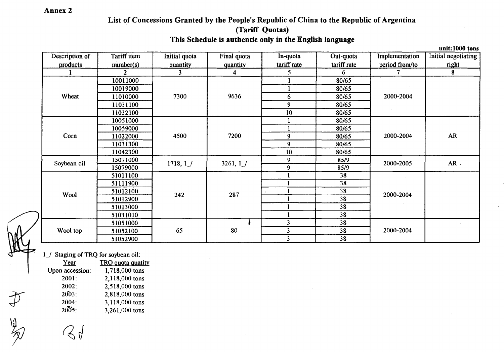# Annex 2

# List of Concessions Granted by the People's Republic of China to the Republic of Argentina (Tariff Quotas)

This Schedule is authentic only in the English language

|                |                |               |             |                         |                 |                | unit:1000 tons      |
|----------------|----------------|---------------|-------------|-------------------------|-----------------|----------------|---------------------|
| Description of | Tariff item    | Initial quota | Final quota | In-quota                | Out-quota       | Implementation | Initial negotiating |
| products       | number(s)      | quantity      | quantity    | tariff rate             | tariff rate     | period from/to | right               |
|                | $\overline{2}$ | 3.            | 4           | 5                       | 6               |                | 8                   |
|                | 10011000       |               | 9636        |                         | 80/65           | 2000-2004      |                     |
|                | 10019000       |               |             |                         | 80/65           |                |                     |
| Wheat          | 11010000       | 7300          |             | 6                       | 80/65           |                |                     |
|                | 11031100       |               |             | $\boldsymbol{9}$        | 80/65           |                |                     |
|                | 11032100       |               |             | 10                      | 80/65           |                |                     |
|                | 10051000       |               |             |                         | 80/65           |                |                     |
|                | 10059000       | 4500          | 7200        | п                       | 80/65           | 2000-2004      |                     |
| Corn           | 11022000       |               |             | 9                       | 80/65           |                | AR                  |
|                | 11031300       |               |             | 9                       | 80/65           |                |                     |
|                | 11042300       |               |             | 10                      | 80/65           |                |                     |
| Soybean oil    | 15071000       | 1718, 1/      | 3261, 1 /   | 9                       | 85/9            | 2000-2005      | $AR$ .              |
|                | 15079000       |               |             | 9                       | 85/9            |                |                     |
|                | 51011100       |               |             |                         | 38              |                |                     |
|                | 51111900       |               |             |                         | 38              |                |                     |
| Wool           | 51012100       | 287<br>242    | 38          | 2000-2004               |                 |                |                     |
|                | 51012900       |               |             |                         | 38              |                |                     |
|                | 51013000       |               |             |                         | 38              |                |                     |
|                | 51031010       |               |             |                         | $\overline{38}$ |                |                     |
|                | 51051000       |               |             | 3                       | 38              |                |                     |
| Wool top       | 51052100       | 65            | 80          | $\overline{\mathbf{3}}$ | 38              | 2000-2004      |                     |
|                | 51052900       |               |             | 3                       | 38              |                |                     |

1\_/ Staging of TRQ for soybean oil:

Year TRQ quota quatity Upon accession: 1,718,000 tons 2001: 2,118,000 tons 2002: 2,518,000 tons 2003: 2,818,000 tons 2004: 3,118,000 tons 2005: 3,261,000 tons

 $\leftrightarrow \mu$ 

 $\mathcal{J}$